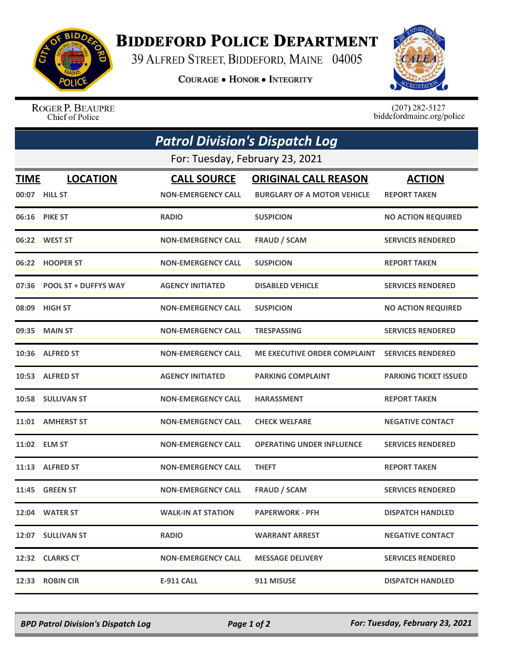

## **BIDDEFORD POLICE DEPARTMENT**

39 ALFRED STREET, BIDDEFORD, MAINE 04005

**COURAGE . HONOR . INTEGRITY** 



ROGER P. BEAUPRE Chief of Police

 $(207)$  282-5127<br>biddefordmaine.org/police

| <b>Patrol Division's Dispatch Log</b> |                             |                           |                                     |                              |  |  |
|---------------------------------------|-----------------------------|---------------------------|-------------------------------------|------------------------------|--|--|
| For: Tuesday, February 23, 2021       |                             |                           |                                     |                              |  |  |
| <b>TIME</b>                           | <b>LOCATION</b>             | <b>CALL SOURCE</b>        | <b>ORIGINAL CALL REASON</b>         | <b>ACTION</b>                |  |  |
|                                       | 00:07 HILL ST               | <b>NON-EMERGENCY CALL</b> | <b>BURGLARY OF A MOTOR VEHICLE</b>  | <b>REPORT TAKEN</b>          |  |  |
|                                       | 06:16 PIKE ST               | <b>RADIO</b>              | <b>SUSPICION</b>                    | <b>NO ACTION REQUIRED</b>    |  |  |
|                                       | 06:22 WEST ST               | <b>NON-EMERGENCY CALL</b> | <b>FRAUD / SCAM</b>                 | <b>SERVICES RENDERED</b>     |  |  |
|                                       | 06:22 HOOPER ST             | <b>NON-EMERGENCY CALL</b> | <b>SUSPICION</b>                    | <b>REPORT TAKEN</b>          |  |  |
| 07:36                                 | <b>POOL ST + DUFFYS WAY</b> | <b>AGENCY INITIATED</b>   | <b>DISABLED VEHICLE</b>             | <b>SERVICES RENDERED</b>     |  |  |
| 08:09                                 | <b>HIGH ST</b>              | <b>NON-EMERGENCY CALL</b> | <b>SUSPICION</b>                    | <b>NO ACTION REQUIRED</b>    |  |  |
|                                       | 09:35 MAIN ST               | <b>NON-EMERGENCY CALL</b> | <b>TRESPASSING</b>                  | <b>SERVICES RENDERED</b>     |  |  |
|                                       | 10:36 ALFRED ST             | <b>NON-EMERGENCY CALL</b> | <b>ME EXECUTIVE ORDER COMPLAINT</b> | <b>SERVICES RENDERED</b>     |  |  |
|                                       | 10:53 ALFRED ST             | <b>AGENCY INITIATED</b>   | <b>PARKING COMPLAINT</b>            | <b>PARKING TICKET ISSUED</b> |  |  |
|                                       | 10:58 SULLIVAN ST           | <b>NON-EMERGENCY CALL</b> | <b>HARASSMENT</b>                   | <b>REPORT TAKEN</b>          |  |  |
|                                       | 11:01 AMHERST ST            | <b>NON-EMERGENCY CALL</b> | <b>CHECK WELFARE</b>                | <b>NEGATIVE CONTACT</b>      |  |  |
|                                       | 11:02 ELM ST                | <b>NON-EMERGENCY CALL</b> | <b>OPERATING UNDER INFLUENCE</b>    | <b>SERVICES RENDERED</b>     |  |  |
|                                       | 11:13 ALFRED ST             | <b>NON-EMERGENCY CALL</b> | <b>THEFT</b>                        | <b>REPORT TAKEN</b>          |  |  |
|                                       | <b>11:45 GREEN ST</b>       | <b>NON-EMERGENCY CALL</b> | <b>FRAUD / SCAM</b>                 | <b>SERVICES RENDERED</b>     |  |  |
|                                       | 12:04 WATER ST              | <b>WALK-IN AT STATION</b> | <b>PAPERWORK - PFH</b>              | <b>DISPATCH HANDLED</b>      |  |  |
|                                       | 12:07 SULLIVAN ST           | <b>RADIO</b>              | <b>WARRANT ARREST</b>               | <b>NEGATIVE CONTACT</b>      |  |  |
|                                       | 12:32 CLARKS CT             | <b>NON-EMERGENCY CALL</b> | <b>MESSAGE DELIVERY</b>             | <b>SERVICES RENDERED</b>     |  |  |
| 12:33                                 | <b>ROBIN CIR</b>            | <b>E-911 CALL</b>         | 911 MISUSE                          | <b>DISPATCH HANDLED</b>      |  |  |

*BPD Patrol Division's Dispatch Log Page 1 of 2 For: Tuesday, February 23, 2021*